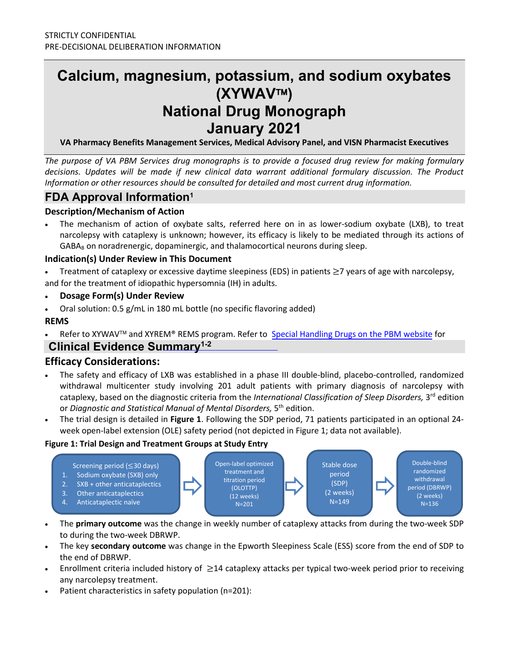# **Calcium, magnesium, potassium, and sodium oxybates (XYWAV) National Drug Monograph January 2021**

**VA Pharmacy Benefits Management Services, Medical Advisory Panel, and VISN Pharmacist Executives**

*The purpose of VA PBM Services drug monographs is to provide a focused drug review for making formulary decisions. Updates will be made if new clinical data warrant additional formulary discussion. The Product Information or other resources should be consulted for detailed and most current drug information.*

# **FDA Approval Information1**

### **Description/Mechanism of Action**

The mechanism of action of oxybate salts, referred here on in as lower-sodium oxybate (LXB), to treat narcolepsy with cataplexy is unknown; however, its efficacy is likely to be mediated through its actions of GABA<sub>B</sub> on noradrenergic, dopaminergic, and thalamocortical neurons during sleep.

#### **Indication(s) Under Review in This Document**

Treatment of cataplexy or excessive daytime sleepiness (EDS) in patients  $\geq$ 7 years of age with narcolepsy, and for the treatment of idiopathic hypersomnia (IH) in adults.

- **Dosage Form(s) Under Review**
- Oral solution: 0.5 g/mL in 180 mL bottle (no specific flavoring added)

### **REMS**

Refer to XYWAV™ and XYREM® REMS [program. Refer to](https://dvagov.sharepoint.com/sites/VHAPBM/Formulary/Special%20Handling%20Drugs/Forms/AllItems.aspx?viewid=75d2ed33%2D720b%2D4fba%2Da3e2%2D33912b89c665&id=%2Fsites%2FVHAPBM%2FFormulary%2FSpecial%20Handling%20Drugs%2FXYWAV%20%28Calcium%2C%20Magnesium%2C%20Potassium%20and%20Sodium%20Oxybates%29) [Special Handling Drugs](https://dvagov.sharepoint.com/sites/VHAPBM/Formulary/Special%20Handling%20Drugs/Forms/AllItems.aspx) on the PBM website for

# **Clinical Evidence Summary<sup>1-2</sup>**

# **Efficacy Considerations:**

- The safety and efficacy of LXB was established in a phase III double-blind, placebo-controlled, randomized withdrawal multicenter study involving 201 adult patients with primary diagnosis of narcolepsy with cataplexy, based on the diagnostic criteria from the *International Classification of Sleep Disorders,* 3rd edition or *Diagnostic and Statistical Manual of Mental Disorders,* 5<sup>th</sup> edition.
- The trial design is detailed in **Figure 1**. Following the SDP period, 71 patients participated in an optional 24 week open-label extension (OLE) safety period (not depicted in Figure 1; data not available).

#### **Figure 1: Trial Design and Treatment Groups at Study Entry**



- The **primary outcome** was the change in weekly number of cataplexy attacks from during the two-week SDP to during the two-week DBRWP.
- The key **secondary outcome** was change in the Epworth Sleepiness Scale (ESS) score from the end of SDP to the end of DBRWP.
- Enrollment criteria included history of ≥14 cataplexy attacks per typical two-week period prior to receiving any narcolepsy treatment.
- Patient characteristics in safety population (n=201):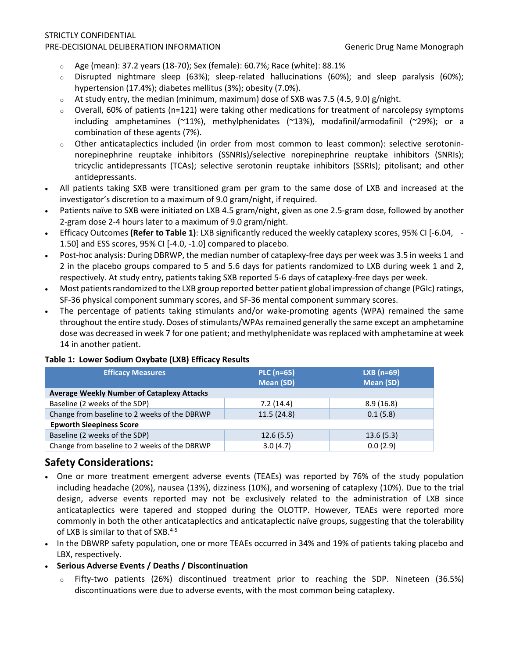#### STRICTLY CONFIDENTIAL PRE-DECISIONAL DELIBERATION INFORMATION Generic Drug Name Monograph

- $\degree$  Age (mean): 37.2 years (18-70); Sex (female): 60.7%; Race (white): 88.1%
- <sup>o</sup> Disrupted nightmare sleep (63%); sleep-related hallucinations (60%); and sleep paralysis (60%); hypertension (17.4%); diabetes mellitus (3%); obesity (7.0%).
- $\circ$  At study entry, the median (minimum, maximum) dose of SXB was 7.5 (4.5, 9.0) g/night.
- $\circ$  Overall, 60% of patients (n=121) were taking other medications for treatment of narcolepsy symptoms including amphetamines (~11%), methylphenidates (~13%), modafinil/armodafinil (~29%); or a combination of these agents (7%).
- Other anticataplectics included (in order from most common to least common): selective serotoninnorepinephrine reuptake inhibitors (SSNRIs)/selective norepinephrine reuptake inhibitors (SNRIs); tricyclic antidepressants (TCAs); selective serotonin reuptake inhibitors (SSRIs); pitolisant; and other antidepressants.
- All patients taking SXB were transitioned gram per gram to the same dose of LXB and increased at the investigator's discretion to a maximum of 9.0 gram/night, if required.
- Patients naïve to SXB were initiated on LXB 4.5 gram/night, given as one 2.5-gram dose, followed by another 2-gram dose 2-4 hours later to a maximum of 9.0 gram/night.
- Efficacy Outcomes **(Refer to Table 1)**: LXB significantly reduced the weekly cataplexy scores, 95% CI [-6.04, 1.50] and ESS scores, 95% CI [-4.0, -1.0] compared to placebo.
- Post-hoc analysis: During DBRWP, the median number of cataplexy-free days per week was 3.5 in weeks 1 and 2 in the placebo groups compared to 5 and 5.6 days for patients randomized to LXB during week 1 and 2, respectively. At study entry, patients taking SXB reported 5-6 days of cataplexy-free days per week.
- Most patients randomized to the LXB group reported better patient global impression of change (PGIc) ratings, SF-36 physical component summary scores, and SF-36 mental component summary scores.
- The percentage of patients taking stimulants and/or wake-promoting agents (WPA) remained the same throughout the entire study. Doses of stimulants/WPAs remained generally the same except an amphetamine dose was decreased in week 7 for one patient; and methylphenidate was replaced with amphetamine at week 14 in another patient.

#### **Table 1: Lower Sodium Oxybate (LXB) Efficacy Results**

| <b>Efficacy Measures</b>                          | <b>PLC (n=65)</b> | $LXB$ (n=69) |  |  |
|---------------------------------------------------|-------------------|--------------|--|--|
|                                                   | <b>Mean (SD)</b>  | Mean (SD)    |  |  |
| <b>Average Weekly Number of Cataplexy Attacks</b> |                   |              |  |  |
| Baseline (2 weeks of the SDP)                     | 7.2(14.4)         | 8.9(16.8)    |  |  |
| Change from baseline to 2 weeks of the DBRWP      | 11.5(24.8)        | 0.1(5.8)     |  |  |
| <b>Epworth Sleepiness Score</b>                   |                   |              |  |  |
| Baseline (2 weeks of the SDP)                     | 12.6(5.5)         | 13.6(5.3)    |  |  |
| Change from baseline to 2 weeks of the DBRWP      | 3.0(4.7)          | 0.0(2.9)     |  |  |

# **Safety Considerations:**

- One or more treatment emergent adverse events (TEAEs) was reported by 76% of the study population including headache (20%), nausea (13%), dizziness (10%), and worsening of cataplexy (10%). Due to the trial design, adverse events reported may not be exclusively related to the administration of LXB since anticataplectics were tapered and stopped during the OLOTTP. However, TEAEs were reported more commonly in both the other anticataplectics and anticataplectic naïve groups, suggesting that the tolerability of LXB is similar to that of SXB.<sup>4-5</sup>
- In the DBWRP safety population, one or more TEAEs occurred in 34% and 19% of patients taking placebo and LBX, respectively.
- **Serious Adverse Events / Deaths / Discontinuation**
	- <sup>o</sup> Fifty-two patients (26%) discontinued treatment prior to reaching the SDP. Nineteen (36.5%) discontinuations were due to adverse events, with the most common being cataplexy.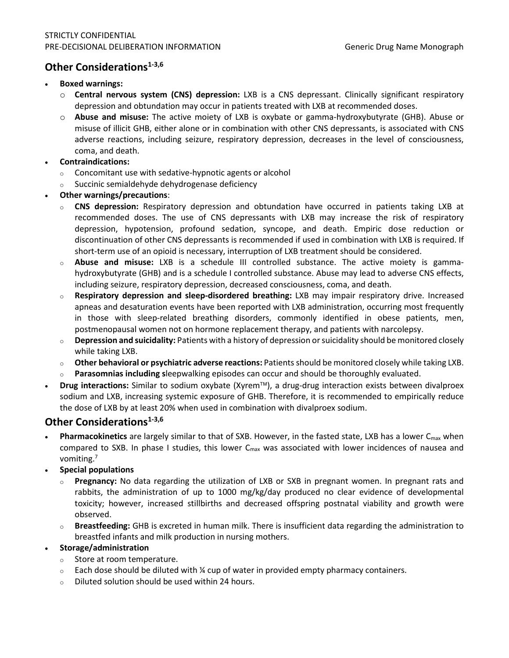# **Other Considerations**<sup>1-3,6</sup>

#### • **Boxed warnings:**

- o **Central nervous system (CNS) depression:** LXB is a CNS depressant. Clinically significant respiratory depression and obtundation may occur in patients treated with LXB at recommended doses.
- o **Abuse and misuse:** The active moiety of LXB is oxybate or gamma-hydroxybutyrate (GHB). Abuse or misuse of illicit GHB, either alone or in combination with other CNS depressants, is associated with CNS adverse reactions, including seizure, respiratory depression, decreases in the level of consciousness, coma, and death.

#### • **Contraindications:**

- <sup>o</sup> Concomitant use with sedative-hypnotic agents or alcohol
- <sup>o</sup> Succinic semialdehyde dehydrogenase deficiency
- **Other warnings/precautions**:
	- <sup>o</sup> **CNS depression:** Respiratory depression and obtundation have occurred in patients taking LXB at recommended doses. The use of CNS depressants with LXB may increase the risk of respiratory depression, hypotension, profound sedation, syncope, and death. Empiric dose reduction or discontinuation of other CNS depressants is recommended if used in combination with LXB is required. If short-term use of an opioid is necessary, interruption of LXB treatment should be considered.
	- Abuse and misuse: LXB is a schedule III controlled substance. The active moiety is gammahydroxybutyrate (GHB) and is a schedule I controlled substance. Abuse may lead to adverse CNS effects, including seizure, respiratory depression, decreased consciousness, coma, and death.
	- <sup>o</sup> **Respiratory depression and sleep-disordered breathing:** LXB may impair respiratory drive. Increased apneas and desaturation events have been reported with LXB administration, occurring most frequently in those with sleep-related breathing disorders, commonly identified in obese patients, men, postmenopausal women not on hormone replacement therapy, and patients with narcolepsy.
	- <sup>o</sup> **Depression and suicidality:** Patients with a history of depression or suicidality should be monitored closely while taking LXB.
	- <sup>o</sup> **Other behavioral or psychiatric adverse reactions:** Patients should be monitored closely while taking LXB.
	- Parasomnias including sleepwalking episodes can occur and should be thoroughly evaluated.
- **Drug interactions:** Similar to sodium oxybate (Xyrem™), a drug-drug interaction exists between divalproex sodium and LXB, increasing systemic exposure of GHB. Therefore, it is recommended to empirically reduce the dose of LXB by at least 20% when used in combination with divalproex sodium.

# **Other Considerations**<sup>1-3,6</sup>

- Pharmacokinetics are largely similar to that of SXB. However, in the fasted state, LXB has a lower C<sub>max</sub> when compared to SXB. In phase I studies, this lower  $C_{\text{max}}$  was associated with lower incidences of nausea and vomiting.7
- **Special populations**
	- <sup>o</sup> **Pregnancy:** No data regarding the utilization of LXB or SXB in pregnant women. In pregnant rats and rabbits, the administration of up to 1000 mg/kg/day produced no clear evidence of developmental toxicity; however, increased stillbirths and decreased offspring postnatal viability and growth were observed.
	- <sup>o</sup> **Breastfeeding:** GHB is excreted in human milk. There is insufficient data regarding the administration to breastfed infants and milk production in nursing mothers.

#### • **Storage/administration**

- <sup>o</sup> Store at room temperature.
- $\circ$  Each dose should be diluted with % cup of water in provided empty pharmacy containers.
- <sup>o</sup> Diluted solution should be used within 24 hours.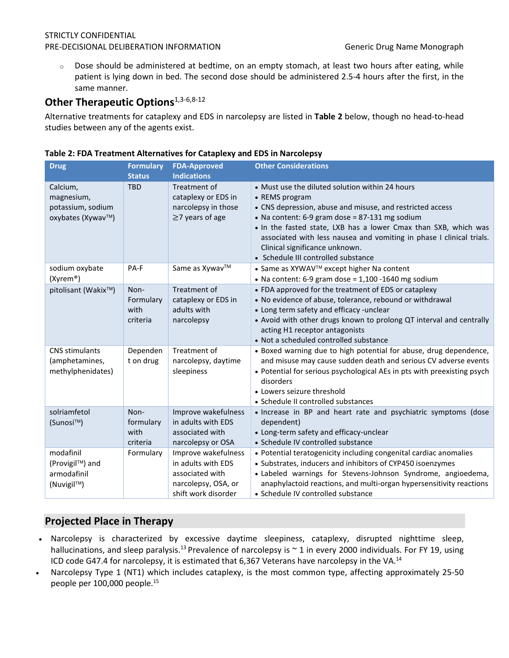#### STRICTLY CONFIDENTIAL PRE-DECISIONAL DELIBERATION INFORMATION Generic Drug Name Monograph

 $\circ$  Dose should be administered at bedtime, on an empty stomach, at least two hours after eating, while patient is lying down in bed. The second dose should be administered 2.5-4 hours after the first, in the same manner.

# **Other Therapeutic Options**<sup>1,3-6,8-12</sup>

Alternative treatments for cataplexy and EDS in narcolepsy are listed in **Table 2** below, though no head-to-head studies between any of the agents exist.

| <b>Drug</b>                                                      | <b>Formulary</b>                      | <b>FDA-Approved</b>                                                                                        | <b>Other Considerations</b>                                                                                                                                                                                                                                                                                                                                                                          |
|------------------------------------------------------------------|---------------------------------------|------------------------------------------------------------------------------------------------------------|------------------------------------------------------------------------------------------------------------------------------------------------------------------------------------------------------------------------------------------------------------------------------------------------------------------------------------------------------------------------------------------------------|
| Calcium,<br>magnesium,<br>potassium, sodium<br>oxybates (Xywav™) | <b>Status</b><br><b>TBD</b>           | <b>Indications</b><br>Treatment of<br>cataplexy or EDS in<br>narcolepsy in those<br>$\geq$ 7 years of age  | • Must use the diluted solution within 24 hours<br>• REMS program<br>• CNS depression, abuse and misuse, and restricted access<br>• Na content: 6-9 gram dose = 87-131 mg sodium<br>. In the fasted state, LXB has a lower Cmax than SXB, which was<br>associated with less nausea and vomiting in phase I clinical trials.<br>Clinical significance unknown.<br>• Schedule III controlled substance |
| sodium oxybate<br>(Xyrem®)                                       | PA-F                                  | Same as Xywav™                                                                                             | • Same as XYWAV™ except higher Na content<br>• Na content: 6-9 gram dose = $1,100$ -1640 mg sodium                                                                                                                                                                                                                                                                                                   |
| pitolisant (Wakix™)                                              | Non-<br>Formulary<br>with<br>criteria | Treatment of<br>cataplexy or EDS in<br>adults with<br>narcolepsy                                           | • FDA approved for the treatment of EDS or cataplexy<br>• No evidence of abuse, tolerance, rebound or withdrawal<br>• Long term safety and efficacy -unclear<br>• Avoid with other drugs known to prolong QT interval and centrally<br>acting H1 receptor antagonists<br>• Not a scheduled controlled substance                                                                                      |
| <b>CNS stimulants</b><br>(amphetamines,<br>methylphenidates)     | Dependen<br>t on drug                 | Treatment of<br>narcolepsy, daytime<br>sleepiness                                                          | • Boxed warning due to high potential for abuse, drug dependence,<br>and misuse may cause sudden death and serious CV adverse events<br>• Potential for serious psychological AEs in pts with preexisting psych<br>disorders<br>• Lowers seizure threshold<br>• Schedule II controlled substances                                                                                                    |
| solriamfetol<br>(Sunosi™)                                        | Non-<br>formulary<br>with<br>criteria | Improve wakefulness<br>in adults with EDS<br>associated with<br>narcolepsy or OSA                          | . Increase in BP and heart rate and psychiatric symptoms (dose<br>dependent)<br>• Long-term safety and efficacy-unclear<br>• Schedule IV controlled substance                                                                                                                                                                                                                                        |
| modafinil<br>(Provigil™) and<br>armodafinil<br>(Nuvigil™)        | Formulary                             | Improve wakefulness<br>in adults with EDS<br>associated with<br>narcolepsy, OSA, or<br>shift work disorder | • Potential teratogenicity including congenital cardiac anomalies<br>• Substrates, inducers and inhibitors of CYP450 isoenzymes<br>· Labeled warnings for Stevens-Johnson Syndrome, angioedema,<br>anaphylactoid reactions, and multi-organ hypersensitivity reactions<br>• Schedule IV controlled substance                                                                                         |

#### **Table 2: FDA Treatment Alternatives for Cataplexy and EDS in Narcolepsy**

# **Projected Place in Therapy**

- Narcolepsy is characterized by excessive daytime sleepiness, cataplexy, disrupted nighttime sleep, hallucinations, and sleep paralysis.<sup>13</sup> Prevalence of narcolepsy is  $\sim$  1 in every 2000 individuals. For FY 19, using ICD code G47.4 for narcolepsy, it is estimated that 6,367 Veterans have narcolepsy in the VA.<sup>14</sup>
- Narcolepsy Type 1 (NT1) which includes cataplexy, is the most common type, affecting approximately 25-50 people per 100,000 people.<sup>15</sup>